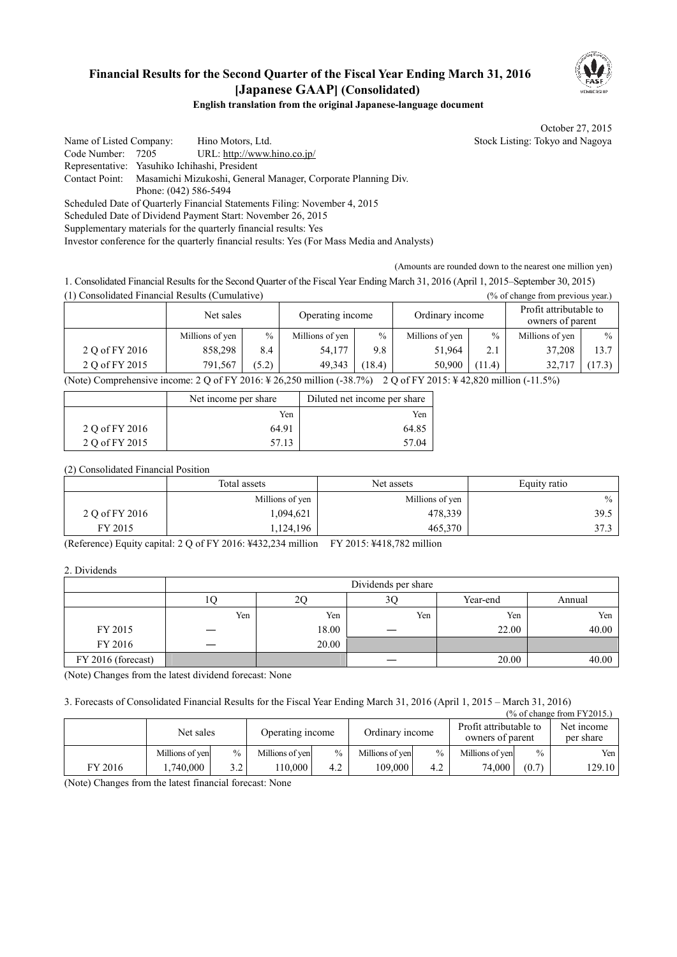# **Financial Results for the Second Quarter of the Fiscal Year Ending March 31, 2016 [Japanese GAAP] (Consolidated)**



#### **English translation from the original Japanese-language document**

October 27, 2015

Name of Listed Company: Hino Motors, Ltd. Stock Listing: Tokyo and Nagoya Code Number: 7205 URL: http://www.hino.co.jp/ Representative: Yasuhiko Ichihashi, President Contact Point: Masamichi Mizukoshi, General Manager, Corporate Planning Div. Phone: (042) 586-5494 Scheduled Date of Quarterly Financial Statements Filing: November 4, 2015 Scheduled Date of Dividend Payment Start: November 26, 2015 Supplementary materials for the quarterly financial results: Yes Investor conference for the quarterly financial results: Yes (For Mass Media and Analysts)

(Amounts are rounded down to the nearest one million yen)

1. Consolidated Financial Results for the Second Quarter of the Fiscal Year Ending March 31, 2016 (April 1, 2015–September 30, 2015) (1) Consolidated Financial Results (Cumulative) (% of change from previous year.)

|                                                                                                   | Net sales       |       | Operating income |       |                 |        | Ordinary income |        | Profit attributable to<br>owners of parent |  |
|---------------------------------------------------------------------------------------------------|-----------------|-------|------------------|-------|-----------------|--------|-----------------|--------|--------------------------------------------|--|
|                                                                                                   | Millions of yen | $\%$  | Millions of yen  | $\%$  | Millions of yen | $\%$   | Millions of yen | $\%$   |                                            |  |
| 2 O of FY 2016                                                                                    | 858.298         | 8.4   | 54.177           | 9.8   | 51.964          | 2.1    | 37.208          | 13.7   |                                            |  |
| 2 O of FY 2015                                                                                    | 791.567         | (5.2) | 49.343           | 18.4) | 50.900          | (11.4) | 32.717          | (17.3) |                                            |  |
| $(0.1.1)$ $(1.1.1.1.1.1.1.1.1.1.0)$ $(0.1.0)$ $(0.1.0)$ $(0.1.0)$ $(0.1.1.1.1.1.1.1.0)$ $(0.1.0)$ |                 |       |                  |       |                 |        |                 |        |                                            |  |

(Note) Comprehensive income: 2 Q of FY 2016: ¥ 26,250 million (-38.7%) 2 Q of FY 2015: ¥ 42,820 million (-11.5%)

|                | Net income per share | Diluted net income per share |
|----------------|----------------------|------------------------------|
|                | Yen                  | Yen                          |
| 2 O of FY 2016 | 64.91                | 64.85                        |
| 2 Q of FY 2015 | 57.13                | 57.04                        |

(2) Consolidated Financial Position

|                | Total assets    | Net assets      | Equity ratio |
|----------------|-----------------|-----------------|--------------|
|                | Millions of yen | Millions of yen | $\%$         |
| 2 Q of FY 2016 | 1,094,621       | 478,339         | 39.5         |
| FY 2015        | 1,124,196       | 465,370         | 37.3         |

(Reference) Equity capital: 2 Q of FY 2016: ¥432,234 million FY 2015: ¥418,782 million

2. Dividends

|                    |     |       | Dividends per share |          |        |
|--------------------|-----|-------|---------------------|----------|--------|
|                    | 1U. | 2C    | 30                  | Year-end | Annual |
|                    | Yen | Yen   | Yen                 | Yen      | Yen    |
| FY 2015            |     | 18.00 |                     | 22.00    | 40.00  |
| FY 2016            |     | 20.00 |                     |          |        |
| FY 2016 (forecast) |     |       |                     | 20.00    | 40.00  |

(Note) Changes from the latest dividend forecast: None

3. Forecasts of Consolidated Financial Results for the Fiscal Year Ending March 31, 2016 (April 1, 2015 – March 31, 2016)

|         |                 |      |                  |               |                 |               |                                            |               | $\frac{9}{6}$ of change from FY2015.) |
|---------|-----------------|------|------------------|---------------|-----------------|---------------|--------------------------------------------|---------------|---------------------------------------|
|         | Net sales       |      | Operating income |               | Ordinary income |               | Profit attributable to<br>owners of parent |               | Net income<br>per share               |
|         | Millions of yen | $\%$ | Millions of yen  | $\frac{0}{0}$ | Millions of yen | $\frac{0}{0}$ | Millions of yen                            | $\frac{0}{0}$ | Yen                                   |
| FY 2016 | .740.000        | 3.2  | 110.000          | 4.2           | 109.000         | 4.2           | 74,000                                     | (0.7)         | 129.10                                |

(Note) Changes from the latest financial forecast: None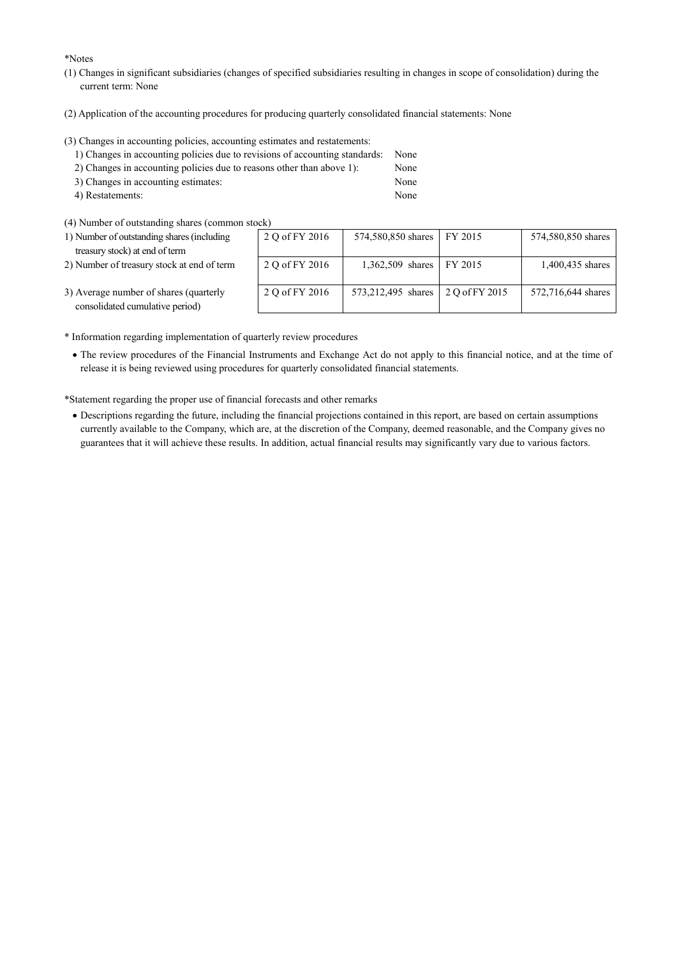\*Notes

- (1) Changes in significant subsidiaries (changes of specified subsidiaries resulting in changes in scope of consolidation) during the current term: None
- (2) Application of the accounting procedures for producing quarterly consolidated financial statements: None

(3) Changes in accounting policies, accounting estimates and restatements:

| 1) Changes in accounting policies due to revisions of accounting standards: | None |
|-----------------------------------------------------------------------------|------|
| 2) Changes in accounting policies due to reasons other than above 1):       | None |
| 3) Changes in accounting estimates:                                         | None |
| 4) Restatements:                                                            | None |

(4) Number of outstanding shares (common stock)

| $\frac{1}{2}$ . The contract of constanting shares (common stock)         |                |                                   |                    |
|---------------------------------------------------------------------------|----------------|-----------------------------------|--------------------|
| 1) Number of outstanding shares (including                                | 2 Q of FY 2016 | 574,580,850 shares FY 2015        | 574,580,850 shares |
| treasury stock) at end of term                                            |                |                                   |                    |
| 2) Number of treasury stock at end of term                                | 2 Q of FY 2016 | 1,362,509 shares   FY 2015        | 1,400,435 shares   |
| 3) Average number of shares (quarterly<br>consolidated cumulative neriod) | 2 Q of FY 2016 | 573,212,495 shares 2 Q of FY 2015 | 572,716,644 shares |

- 3) Average number of shares consolidated cumulative period)
- \* Information regarding implementation of quarterly review procedures
	- · The review procedures of the Financial Instruments and Exchange Act do not apply to this financial notice, and at the time of release it is being reviewed using procedures for quarterly consolidated financial statements.

\*Statement regarding the proper use of financial forecasts and other remarks

· Descriptions regarding the future, including the financial projections contained in this report, are based on certain assumptions currently available to the Company, which are, at the discretion of the Company, deemed reasonable, and the Company gives no guarantees that it will achieve these results. In addition, actual financial results may significantly vary due to various factors.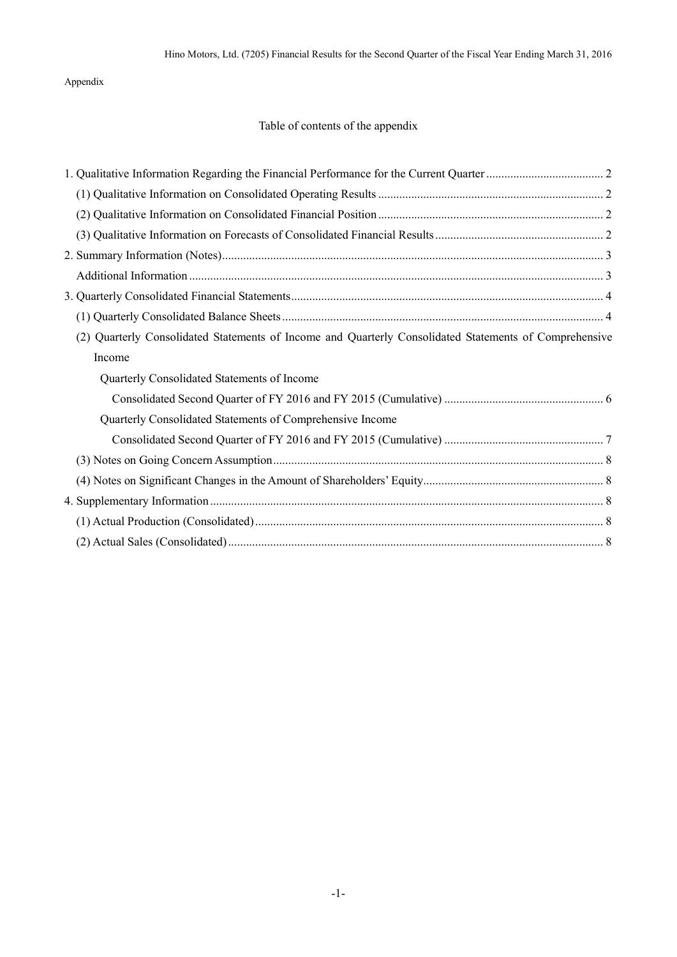Appendix

## Table of contents of the appendix

| (2) Quarterly Consolidated Statements of Income and Quarterly Consolidated Statements of Comprehensive<br>Income<br>Quarterly Consolidated Statements of Income<br>Quarterly Consolidated Statements of Comprehensive Income |  |  |
|------------------------------------------------------------------------------------------------------------------------------------------------------------------------------------------------------------------------------|--|--|
|                                                                                                                                                                                                                              |  |  |
|                                                                                                                                                                                                                              |  |  |
|                                                                                                                                                                                                                              |  |  |
|                                                                                                                                                                                                                              |  |  |
|                                                                                                                                                                                                                              |  |  |
|                                                                                                                                                                                                                              |  |  |
|                                                                                                                                                                                                                              |  |  |
|                                                                                                                                                                                                                              |  |  |
|                                                                                                                                                                                                                              |  |  |
|                                                                                                                                                                                                                              |  |  |
|                                                                                                                                                                                                                              |  |  |
|                                                                                                                                                                                                                              |  |  |
|                                                                                                                                                                                                                              |  |  |
|                                                                                                                                                                                                                              |  |  |
|                                                                                                                                                                                                                              |  |  |
|                                                                                                                                                                                                                              |  |  |
|                                                                                                                                                                                                                              |  |  |
|                                                                                                                                                                                                                              |  |  |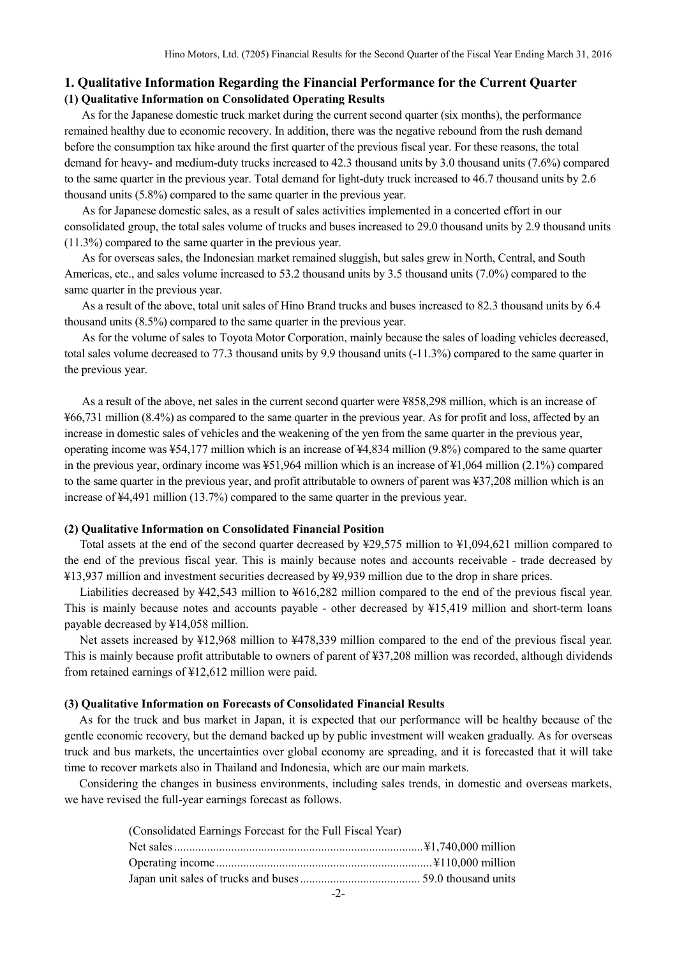### **1. Qualitative Information Regarding the Financial Performance for the Current Quarter (1) Qualitative Information on Consolidated Operating Results**

As for the Japanese domestic truck market during the current second quarter (six months), the performance remained healthy due to economic recovery. In addition, there was the negative rebound from the rush demand before the consumption tax hike around the first quarter of the previous fiscal year. For these reasons, the total demand for heavy- and medium-duty trucks increased to 42.3 thousand units by 3.0 thousand units (7.6%) compared to the same quarter in the previous year. Total demand for light-duty truck increased to 46.7 thousand units by 2.6 thousand units (5.8%) compared to the same quarter in the previous year.

As for Japanese domestic sales, as a result of sales activities implemented in a concerted effort in our consolidated group, the total sales volume of trucks and buses increased to 29.0 thousand units by 2.9 thousand units (11.3%) compared to the same quarter in the previous year.

As for overseas sales, the Indonesian market remained sluggish, but sales grew in North, Central, and South Americas, etc., and sales volume increased to 53.2 thousand units by 3.5 thousand units (7.0%) compared to the same quarter in the previous year.

As a result of the above, total unit sales of Hino Brand trucks and buses increased to 82.3 thousand units by 6.4 thousand units (8.5%) compared to the same quarter in the previous year.

As for the volume of sales to Toyota Motor Corporation, mainly because the sales of loading vehicles decreased, total sales volume decreased to 77.3 thousand units by 9.9 thousand units (-11.3%) compared to the same quarter in the previous year.

As a result of the above, net sales in the current second quarter were ¥858,298 million, which is an increase of ¥66,731 million (8.4%) as compared to the same quarter in the previous year. As for profit and loss, affected by an increase in domestic sales of vehicles and the weakening of the yen from the same quarter in the previous year, operating income was ¥54,177 million which is an increase of ¥4,834 million (9.8%) compared to the same quarter in the previous year, ordinary income was ¥51,964 million which is an increase of ¥1,064 million (2.1%) compared to the same quarter in the previous year, and profit attributable to owners of parent was ¥37,208 million which is an increase of ¥4,491 million (13.7%) compared to the same quarter in the previous year.

#### **(2) Qualitative Information on Consolidated Financial Position**

Total assets at the end of the second quarter decreased by ¥29,575 million to ¥1,094,621 million compared to the end of the previous fiscal year. This is mainly because notes and accounts receivable - trade decreased by ¥13,937 million and investment securities decreased by ¥9,939 million due to the drop in share prices.

Liabilities decreased by ¥42,543 million to ¥616,282 million compared to the end of the previous fiscal year. This is mainly because notes and accounts payable - other decreased by ¥15,419 million and short-term loans payable decreased by ¥14,058 million.

Net assets increased by ¥12,968 million to ¥478,339 million compared to the end of the previous fiscal year. This is mainly because profit attributable to owners of parent of ¥37,208 million was recorded, although dividends from retained earnings of ¥12,612 million were paid.

#### **(3) Qualitative Information on Forecasts of Consolidated Financial Results**

As for the truck and bus market in Japan, it is expected that our performance will be healthy because of the gentle economic recovery, but the demand backed up by public investment will weaken gradually. As for overseas truck and bus markets, the uncertainties over global economy are spreading, and it is forecasted that it will take time to recover markets also in Thailand and Indonesia, which are our main markets.

Considering the changes in business environments, including sales trends, in domestic and overseas markets, we have revised the full-year earnings forecast as follows.

| (Consolidated Earnings Forecast for the Full Fiscal Year) |  |
|-----------------------------------------------------------|--|
|                                                           |  |
|                                                           |  |
|                                                           |  |
| $-2-$                                                     |  |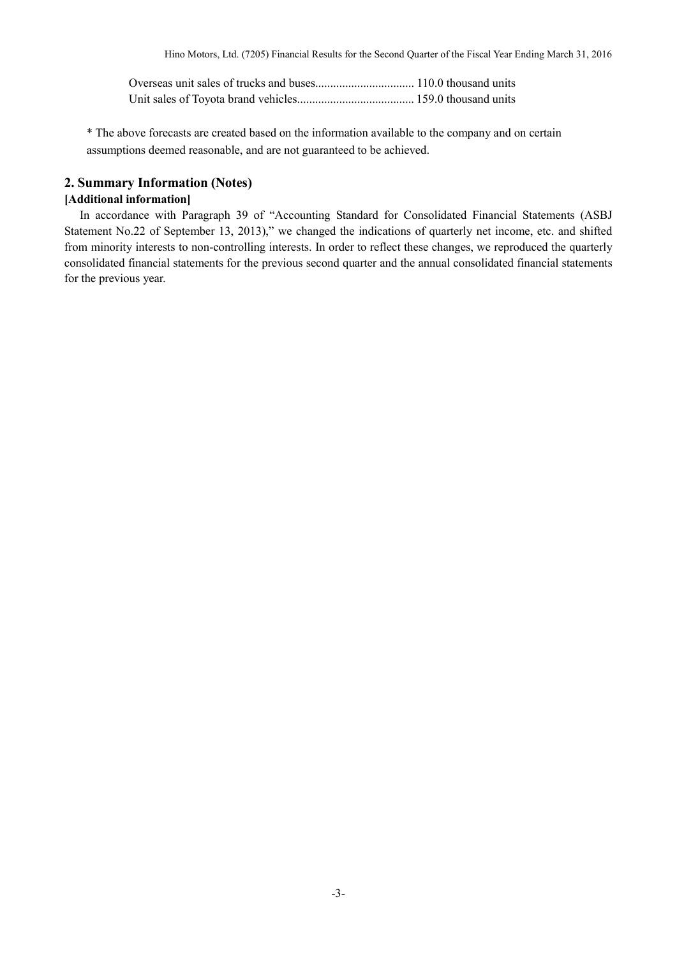\* The above forecasts are created based on the information available to the company and on certain assumptions deemed reasonable, and are not guaranteed to be achieved.

### **2. Summary Information (Notes)**

### **[Additional information]**

In accordance with Paragraph 39 of "Accounting Standard for Consolidated Financial Statements (ASBJ Statement No.22 of September 13, 2013)," we changed the indications of quarterly net income, etc. and shifted from minority interests to non-controlling interests. In order to reflect these changes, we reproduced the quarterly consolidated financial statements for the previous second quarter and the annual consolidated financial statements for the previous year.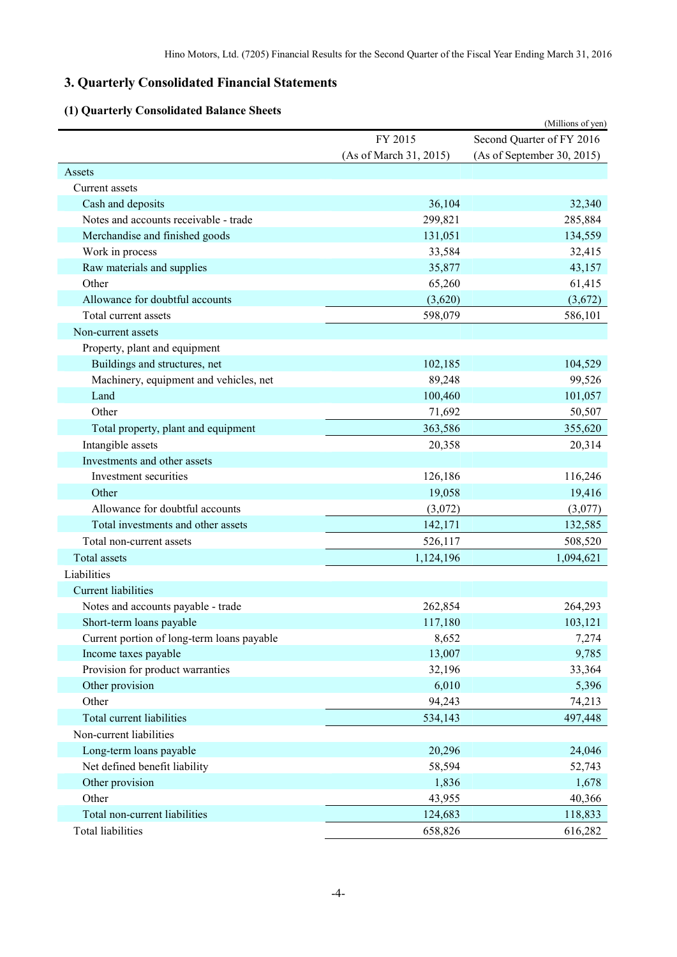# **3. Quarterly Consolidated Financial Statements**

# **(1) Quarterly Consolidated Balance Sheets**

| (1) Quarterly Consolidated Dalance Sheets  |                        | (Millions of yen)          |
|--------------------------------------------|------------------------|----------------------------|
|                                            | FY 2015                | Second Quarter of FY 2016  |
|                                            | (As of March 31, 2015) | (As of September 30, 2015) |
| Assets                                     |                        |                            |
| Current assets                             |                        |                            |
| Cash and deposits                          | 36,104                 | 32,340                     |
| Notes and accounts receivable - trade      | 299,821                | 285,884                    |
| Merchandise and finished goods             | 131,051                | 134,559                    |
| Work in process                            | 33,584                 | 32,415                     |
| Raw materials and supplies                 | 35,877                 | 43,157                     |
| Other                                      | 65,260                 | 61,415                     |
| Allowance for doubtful accounts            | (3,620)                | (3,672)                    |
| Total current assets                       | 598,079                | 586,101                    |
| Non-current assets                         |                        |                            |
| Property, plant and equipment              |                        |                            |
| Buildings and structures, net              | 102,185                | 104,529                    |
| Machinery, equipment and vehicles, net     | 89,248                 | 99,526                     |
| Land                                       | 100,460                | 101,057                    |
| Other                                      | 71,692                 | 50,507                     |
| Total property, plant and equipment        | 363,586                | 355,620                    |
| Intangible assets                          | 20,358                 | 20,314                     |
| Investments and other assets               |                        |                            |
| Investment securities                      | 126,186                | 116,246                    |
| Other                                      | 19,058                 | 19,416                     |
| Allowance for doubtful accounts            | (3,072)                | (3,077)                    |
| Total investments and other assets         | 142,171                | 132,585                    |
| Total non-current assets                   | 526,117                | 508,520                    |
| Total assets                               | 1,124,196              | 1,094,621                  |
| Liabilities                                |                        |                            |
| <b>Current liabilities</b>                 |                        |                            |
| Notes and accounts payable - trade         | 262,854                | 264,293                    |
| Short-term loans payable                   | 117,180                | 103,121                    |
| Current portion of long-term loans payable | 8,652                  | 7,274                      |
| Income taxes payable                       | 13,007                 | 9,785                      |
| Provision for product warranties           | 32,196                 | 33,364                     |
| Other provision                            | 6,010                  | 5,396                      |
| Other                                      | 94,243                 | 74,213                     |
| Total current liabilities                  | 534,143                | 497,448                    |
| Non-current liabilities                    |                        |                            |
| Long-term loans payable                    | 20,296                 | 24,046                     |
| Net defined benefit liability              | 58,594                 | 52,743                     |
| Other provision                            | 1,836                  | 1,678                      |
| Other                                      | 43,955                 | 40,366                     |
| Total non-current liabilities              | 124,683                | 118,833                    |
| <b>Total liabilities</b>                   | 658,826                | 616,282                    |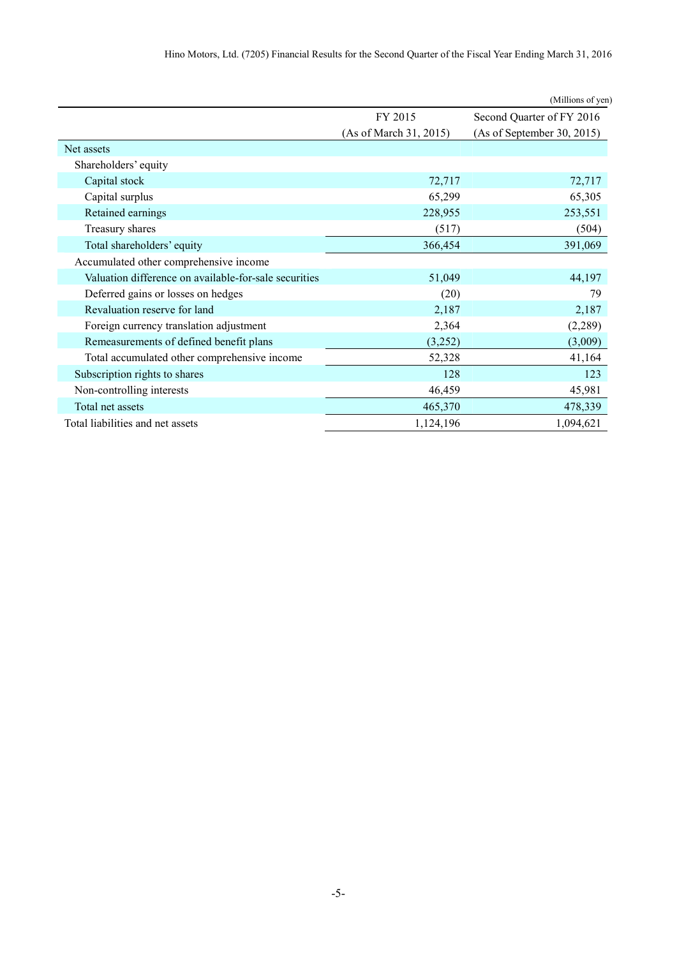| Hino Motors, Ltd. (7205) Financial Results for the Second Quarter of the Fiscal Year Ending March 31, 2016 |  |
|------------------------------------------------------------------------------------------------------------|--|
|------------------------------------------------------------------------------------------------------------|--|

|                                                       |                        | (Millions of yen)          |
|-------------------------------------------------------|------------------------|----------------------------|
|                                                       | FY 2015                | Second Quarter of FY 2016  |
|                                                       | (As of March 31, 2015) | (As of September 30, 2015) |
| Net assets                                            |                        |                            |
| Shareholders' equity                                  |                        |                            |
| Capital stock                                         | 72,717                 | 72,717                     |
| Capital surplus                                       | 65,299                 | 65,305                     |
| Retained earnings                                     | 228,955                | 253,551                    |
| Treasury shares                                       | (517)                  | (504)                      |
| Total shareholders' equity                            | 366,454                | 391,069                    |
| Accumulated other comprehensive income                |                        |                            |
| Valuation difference on available-for-sale securities | 51,049                 | 44,197                     |
| Deferred gains or losses on hedges                    | (20)                   | 79                         |
| Revaluation reserve for land                          | 2,187                  | 2,187                      |
| Foreign currency translation adjustment               | 2,364                  | (2,289)                    |
| Remeasurements of defined benefit plans               | (3,252)                | (3,009)                    |
| Total accumulated other comprehensive income          | 52,328                 | 41,164                     |
| Subscription rights to shares                         | 128                    | 123                        |
| Non-controlling interests                             | 46,459                 | 45,981                     |
| Total net assets                                      | 465,370                | 478,339                    |
| Total liabilities and net assets                      | 1,124,196              | 1,094,621                  |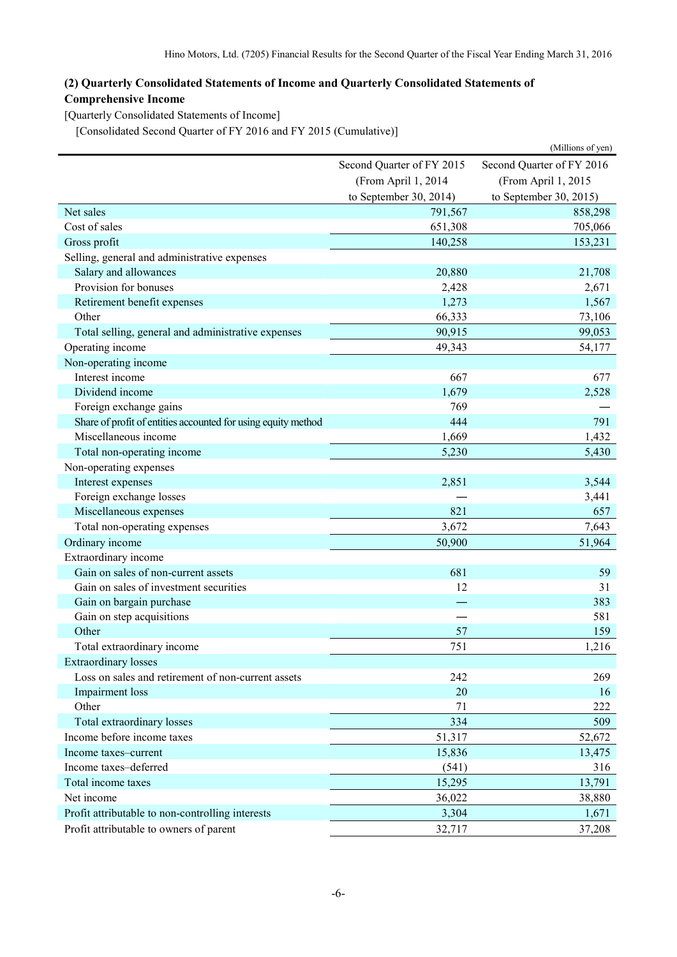## **(2) Quarterly Consolidated Statements of Income and Quarterly Consolidated Statements of Comprehensive Income**

[Quarterly Consolidated Statements of Income]

[Consolidated Second Quarter of FY 2016 and FY 2015 (Cumulative)]

|                                                               |                           | (Millions of yen)         |  |
|---------------------------------------------------------------|---------------------------|---------------------------|--|
|                                                               | Second Quarter of FY 2015 | Second Quarter of FY 2016 |  |
|                                                               | (From April 1, 2014       | (From April 1, 2015       |  |
|                                                               | to September 30, 2014)    | to September 30, 2015)    |  |
| Net sales                                                     | 791,567                   | 858,298                   |  |
| Cost of sales                                                 | 651,308                   | 705,066                   |  |
| Gross profit                                                  | 140,258                   | 153,231                   |  |
| Selling, general and administrative expenses                  |                           |                           |  |
| Salary and allowances                                         | 20,880                    | 21,708                    |  |
| Provision for bonuses                                         | 2,428                     | 2,671                     |  |
| Retirement benefit expenses                                   | 1,273                     | 1,567                     |  |
| Other                                                         | 66,333                    | 73,106                    |  |
| Total selling, general and administrative expenses            | 90,915                    | 99,053                    |  |
| Operating income                                              | 49,343                    | 54,177                    |  |
| Non-operating income                                          |                           |                           |  |
| Interest income                                               | 667                       | 677                       |  |
| Dividend income                                               | 1,679                     | 2,528                     |  |
| Foreign exchange gains                                        | 769                       |                           |  |
| Share of profit of entities accounted for using equity method | 444                       | 791                       |  |
| Miscellaneous income                                          | 1,669                     | 1,432                     |  |
| Total non-operating income                                    | 5,230                     | 5,430                     |  |
| Non-operating expenses                                        |                           |                           |  |
| Interest expenses                                             | 2,851                     | 3,544                     |  |
| Foreign exchange losses                                       |                           | 3,441                     |  |
| Miscellaneous expenses                                        | 821                       | 657                       |  |
| Total non-operating expenses                                  | 3,672                     | 7,643                     |  |
| Ordinary income                                               | 50,900                    | 51,964                    |  |
| Extraordinary income                                          |                           |                           |  |
| Gain on sales of non-current assets                           | 681                       | 59                        |  |
| Gain on sales of investment securities                        | 12                        | 31                        |  |
| Gain on bargain purchase                                      |                           | 383                       |  |
| Gain on step acquisitions                                     |                           | 581                       |  |
| Other                                                         | 57                        | 159                       |  |
| Total extraordinary income                                    | 751                       | 1,216                     |  |
| <b>Extraordinary losses</b>                                   |                           |                           |  |
| Loss on sales and retirement of non-current assets            | 242                       | 269                       |  |
| Impairment loss                                               | 20                        | 16                        |  |
| Other                                                         | 71                        | 222                       |  |
| Total extraordinary losses                                    | 334                       | 509                       |  |
| Income before income taxes                                    | 51,317                    | 52,672                    |  |
| Income taxes-current                                          | 15,836                    | 13,475                    |  |
| Income taxes-deferred                                         | (541)                     | 316                       |  |
| Total income taxes                                            | 15,295                    | 13,791                    |  |
| Net income                                                    | 36,022                    | 38,880                    |  |
| Profit attributable to non-controlling interests              | 3,304                     | 1,671                     |  |
| Profit attributable to owners of parent                       | 32,717                    | 37,208                    |  |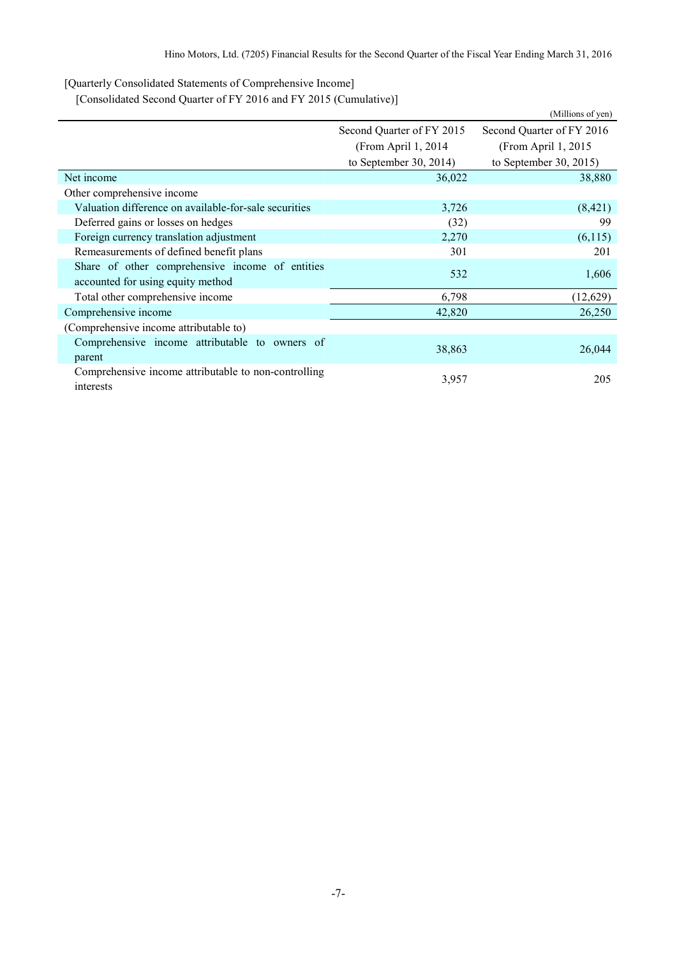[Quarterly Consolidated Statements of Comprehensive Income]

[Consolidated Second Quarter of FY 2016 and FY 2015 (Cumulative)]

|                                                                   |                           | (Millions of yen)         |
|-------------------------------------------------------------------|---------------------------|---------------------------|
|                                                                   | Second Quarter of FY 2015 | Second Quarter of FY 2016 |
|                                                                   | (From April 1, 2014)      | (From April 1, 2015)      |
|                                                                   | to September 30, 2014)    | to September 30, 2015)    |
| Net income                                                        | 36,022                    | 38,880                    |
| Other comprehensive income                                        |                           |                           |
| Valuation difference on available-for-sale securities             | 3,726                     | (8,421)                   |
| Deferred gains or losses on hedges                                | (32)                      | 99                        |
| Foreign currency translation adjustment                           | 2,270                     | (6,115)                   |
| Remeasurements of defined benefit plans                           | 301                       | 201                       |
| Share of other comprehensive income of entities                   | 532                       | 1,606                     |
| accounted for using equity method                                 |                           |                           |
| Total other comprehensive income                                  | 6,798                     | (12,629)                  |
| Comprehensive income                                              | 42,820                    | 26,250                    |
| (Comprehensive income attributable to)                            |                           |                           |
| Comprehensive income attributable to owners of                    | 38,863                    | 26,044                    |
| parent                                                            |                           |                           |
| Comprehensive income attributable to non-controlling<br>interests | 3,957                     | 205                       |